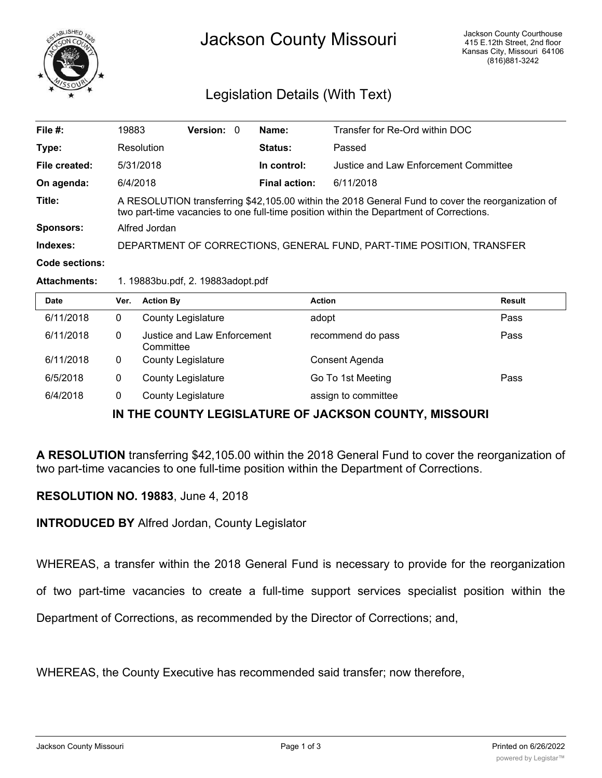

## Legislation Details (With Text)

| File $#$ :       | 19883                                                                                                                                                                                        | <b>Version:</b> 0 |  | Name:                | Transfer for Re-Ord within DOC        |
|------------------|----------------------------------------------------------------------------------------------------------------------------------------------------------------------------------------------|-------------------|--|----------------------|---------------------------------------|
| Type:            | Resolution                                                                                                                                                                                   |                   |  | <b>Status:</b>       | Passed                                |
| File created:    | 5/31/2018                                                                                                                                                                                    |                   |  | In control:          | Justice and Law Enforcement Committee |
| On agenda:       | 6/4/2018                                                                                                                                                                                     |                   |  | <b>Final action:</b> | 6/11/2018                             |
| Title:           | A RESOLUTION transferring \$42,105.00 within the 2018 General Fund to cover the reorganization of<br>two part-time vacancies to one full-time position within the Department of Corrections. |                   |  |                      |                                       |
| <b>Sponsors:</b> | Alfred Jordan                                                                                                                                                                                |                   |  |                      |                                       |
| Indexes:         | DEPARTMENT OF CORRECTIONS, GENERAL FUND, PART-TIME POSITION, TRANSFER                                                                                                                        |                   |  |                      |                                       |
| Code sections:   |                                                                                                                                                                                              |                   |  |                      |                                       |

## **Attachments:** 1. 19883bu.pdf, 2. 19883adopt.pdf

| <b>Date</b> | Ver. | <b>Action By</b>                         | <b>Action</b>       | <b>Result</b> |
|-------------|------|------------------------------------------|---------------------|---------------|
| 6/11/2018   | 0    | <b>County Legislature</b>                | adopt               | Pass          |
| 6/11/2018   | 0    | Justice and Law Enforcement<br>Committee | recommend do pass   | Pass          |
| 6/11/2018   | 0    | <b>County Legislature</b>                | Consent Agenda      |               |
| 6/5/2018    | 0    | <b>County Legislature</b>                | Go To 1st Meeting   | Pass          |
| 6/4/2018    | 0    | <b>County Legislature</b>                | assign to committee |               |

## **IN THE COUNTY LEGISLATURE OF JACKSON COUNTY, MISSOURI**

**A RESOLUTION** transferring \$42,105.00 within the 2018 General Fund to cover the reorganization of two part-time vacancies to one full-time position within the Department of Corrections.

## **RESOLUTION NO. 19883**, June 4, 2018

**INTRODUCED BY** Alfred Jordan, County Legislator

WHEREAS, a transfer within the 2018 General Fund is necessary to provide for the reorganization

of two part-time vacancies to create a full-time support services specialist position within the

Department of Corrections, as recommended by the Director of Corrections; and,

WHEREAS, the County Executive has recommended said transfer; now therefore,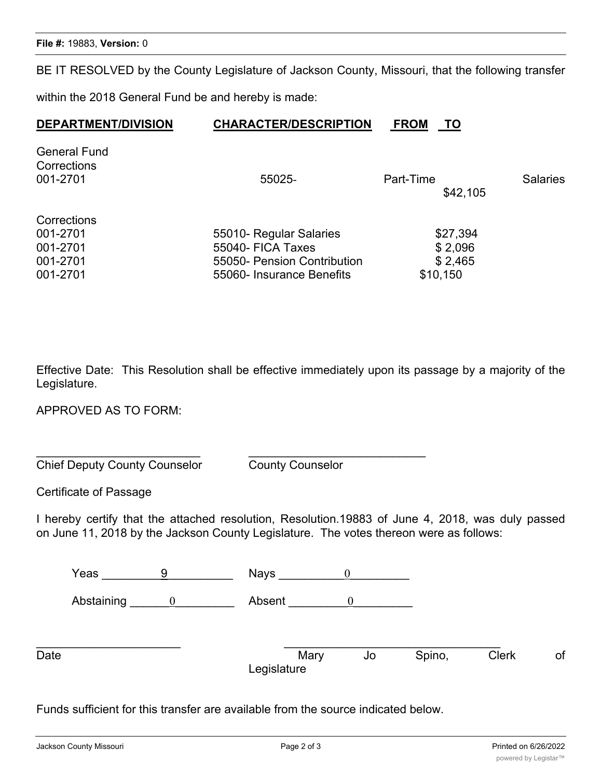BE IT RESOLVED by the County Legislature of Jackson County, Missouri, that the following transfer

within the 2018 General Fund be and hereby is made:

| <b>DEPARTMENT/DIVISION</b>                                  | <b>CHARACTER/DESCRIPTION</b>                                                                             | <b>FROM</b><br>ТО                          |                 |
|-------------------------------------------------------------|----------------------------------------------------------------------------------------------------------|--------------------------------------------|-----------------|
| <b>General Fund</b><br>Corrections<br>001-2701              | 55025-                                                                                                   | Part-Time<br>\$42,105                      | <b>Salaries</b> |
| Corrections<br>001-2701<br>001-2701<br>001-2701<br>001-2701 | 55010- Regular Salaries<br>55040- FICA Taxes<br>55050- Pension Contribution<br>55060- Insurance Benefits | \$27,394<br>\$2,096<br>\$2,465<br>\$10,150 |                 |

Effective Date: This Resolution shall be effective immediately upon its passage by a majority of the Legislature.

APPROVED AS TO FORM:

Chief Deputy County Counselor County Counselor

Certificate of Passage

I hereby certify that the attached resolution, Resolution.19883 of June 4, 2018, was duly passed on June 11, 2018 by the Jackson County Legislature. The votes thereon were as follows:

Yeas  $\overline{9}$  Nays  $\overline{0}$ Abstaining  $\begin{array}{ccc} 0 & \hspace{1.6cm} & \hspace{1.6cm} & \hspace{1.6cm} & \hspace{1.6cm} & \hspace{1.6cm} & \hspace{1.6cm} & \hspace{1.6cm} & \hspace{1.6cm} & \hspace{1.6cm} & \hspace{1.6cm} & \hspace{1.6cm} & \hspace{1.6cm} & \hspace{1.6cm} & \hspace{1.6cm} & \hspace{1.6cm} & \hspace{1.6cm} & \hspace{1.6cm} & \hspace{1.6cm} & \hspace{1.6cm} & \hspace{1.6cm} &$ \_\_\_\_\_\_\_\_\_\_\_\_\_\_\_\_\_\_\_\_\_\_ \_\_\_\_\_\_\_\_\_\_\_\_\_\_\_\_\_\_\_\_\_\_\_\_\_\_\_\_\_\_\_\_\_ Date **Mary Date Clerk of Spino, Clerk** of Legislature

Funds sufficient for this transfer are available from the source indicated below.

\_\_\_\_\_\_\_\_\_\_\_\_\_\_\_\_\_\_\_\_\_\_\_\_\_ \_\_\_\_\_\_\_\_\_\_\_\_\_\_\_\_\_\_\_\_\_\_\_\_\_\_\_